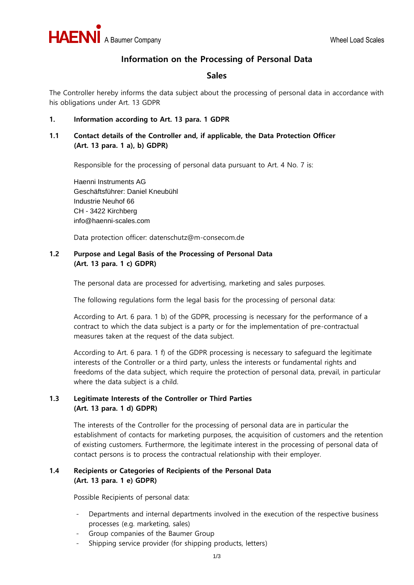

# **Information on the Processing of Personal Data**

# **Sales**

The Controller hereby informs the data subject about the processing of personal data in accordance with his obligations under Art. 13 GDPR

#### **1. Information according to Art. 13 para. 1 GDPR**

## **1.1 Contact details of the Controller and, if applicable, the Data Protection Officer (Art. 13 para. 1 a), b) GDPR)**

Responsible for the processing of personal data pursuant to Art. 4 No. 7 is:

Haenni Instruments AG Geschäftsführer: Daniel Kneubühl Industrie Neuhof 66 CH - 3422 Kirchberg info@haenni-scales.com

Data protection officer: datenschutz@m-consecom.de

## **1.2 Purpose and Legal Basis of the Processing of Personal Data (Art. 13 para. 1 c) GDPR)**

The personal data are processed for advertising, marketing and sales purposes.

The following regulations form the legal basis for the processing of personal data:

According to Art. 6 para. 1 b) of the GDPR, processing is necessary for the performance of a contract to which the data subject is a party or for the implementation of pre-contractual measures taken at the request of the data subject.

According to Art. 6 para. 1 f) of the GDPR processing is necessary to safeguard the legitimate interests of the Controller or a third party, unless the interests or fundamental rights and freedoms of the data subject, which require the protection of personal data, prevail, in particular where the data subject is a child.

## **1.3 Legitimate Interests of the Controller or Third Parties (Art. 13 para. 1 d) GDPR)**

The interests of the Controller for the processing of personal data are in particular the establishment of contacts for marketing purposes, the acquisition of customers and the retention of existing customers. Furthermore, the legitimate interest in the processing of personal data of contact persons is to process the contractual relationship with their employer.

# **1.4 Recipients or Categories of Recipients of the Personal Data (Art. 13 para. 1 e) GDPR)**

Possible Recipients of personal data:

- Departments and internal departments involved in the execution of the respective business processes (e.g. marketing, sales)
- Group companies of the Baumer Group
- Shipping service provider (for shipping products, letters)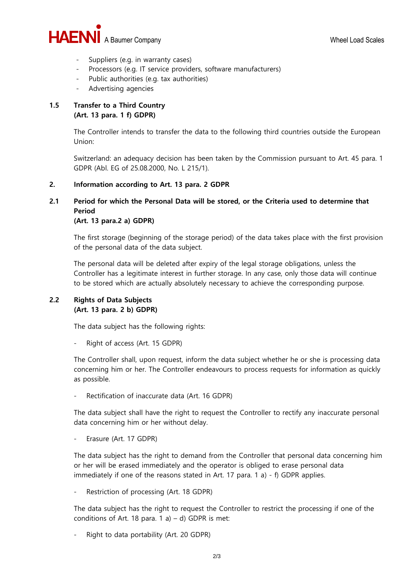

- Suppliers (e.g. in warranty cases)
- Processors (e.g. IT service providers, software manufacturers)
- Public authorities (e.g. tax authorities)
- Advertising agencies

## **1.5 Transfer to a Third Country (Art. 13 para. 1 f) GDPR)**

The Controller intends to transfer the data to the following third countries outside the European Union:

Switzerland: an adequacy decision has been taken by the Commission pursuant to Art. 45 para. 1 GDPR (Abl. EG of 25.08.2000, No. L 215/1).

#### **2. Information according to Art. 13 para. 2 GDPR**

# **2.1 Period for which the Personal Data will be stored, or the Criteria used to determine that Period**

#### **(Art. 13 para.2 a) GDPR)**

The first storage (beginning of the storage period) of the data takes place with the first provision of the personal data of the data subject.

The personal data will be deleted after expiry of the legal storage obligations, unless the Controller has a legitimate interest in further storage. In any case, only those data will continue to be stored which are actually absolutely necessary to achieve the corresponding purpose.

## **2.2 Rights of Data Subjects (Art. 13 para. 2 b) GDPR)**

The data subject has the following rights:

Right of access (Art. 15 GDPR)

The Controller shall, upon request, inform the data subject whether he or she is processing data concerning him or her. The Controller endeavours to process requests for information as quickly as possible.

Rectification of inaccurate data (Art. 16 GDPR)

The data subject shall have the right to request the Controller to rectify any inaccurate personal data concerning him or her without delay.

Erasure (Art. 17 GDPR)

The data subject has the right to demand from the Controller that personal data concerning him or her will be erased immediately and the operator is obliged to erase personal data immediately if one of the reasons stated in Art. 17 para. 1 a) - f) GDPR applies.

Restriction of processing (Art. 18 GDPR)

The data subject has the right to request the Controller to restrict the processing if one of the conditions of Art. 18 para. 1 a) – d) GDPR is met:

Right to data portability (Art. 20 GDPR)